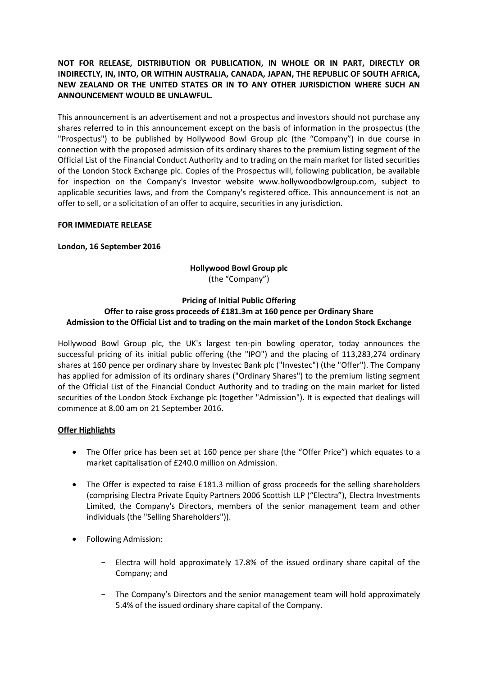# **NOT FOR RELEASE, DISTRIBUTION OR PUBLICATION, IN WHOLE OR IN PART, DIRECTLY OR INDIRECTLY, IN, INTO, OR WITHIN AUSTRALIA, CANADA, JAPAN, THE REPUBLIC OF SOUTH AFRICA, NEW ZEALAND OR THE UNITED STATES OR IN TO ANY OTHER JURISDICTION WHERE SUCH AN ANNOUNCEMENT WOULD BE UNLAWFUL.**

This announcement is an advertisement and not a prospectus and investors should not purchase any shares referred to in this announcement except on the basis of information in the prospectus (the "Prospectus") to be published by Hollywood Bowl Group plc (the "Company") in due course in connection with the proposed admission of its ordinary shares to the premium listing segment of the Official List of the Financial Conduct Authority and to trading on the main market for listed securities of the London Stock Exchange plc. Copies of the Prospectus will, following publication, be available for inspection on the Company's Investor website www.hollywoodbowlgroup.com, subject to applicable securities laws, and from the Company's registered office. This announcement is not an offer to sell, or a solicitation of an offer to acquire, securities in any jurisdiction.

## **FOR IMMEDIATE RELEASE**

## **London, 16 September 2016**

# **Hollywood Bowl Group plc** (the "Company")

#### **Pricing of Initial Public Offering Offer to raise gross proceeds of £181.3m at 160 pence per Ordinary Share Admission to the Official List and to trading on the main market of the London Stock Exchange**

Hollywood Bowl Group plc, the UK's largest ten-pin bowling operator, today announces the successful pricing of its initial public offering (the "IPO") and the placing of 113,283,274 ordinary shares at 160 pence per ordinary share by Investec Bank plc ("Investec") (the "Offer"). The Company has applied for admission of its ordinary shares ("Ordinary Shares") to the premium listing segment of the Official List of the Financial Conduct Authority and to trading on the main market for listed securities of the London Stock Exchange plc (together "Admission"). It is expected that dealings will commence at 8.00 am on 21 September 2016.

# **Offer Highlights**

- The Offer price has been set at 160 pence per share (the "Offer Price") which equates to a market capitalisation of £240.0 million on Admission.
- The Offer is expected to raise £181.3 million of gross proceeds for the selling shareholders (comprising Electra Private Equity Partners 2006 Scottish LLP ("Electra"), Electra Investments Limited, the Company's Directors, members of the senior management team and other individuals (the "Selling Shareholders")).
- Following Admission:
	- − Electra will hold approximately 17.8% of the issued ordinary share capital of the Company; and
	- − The Company's Directors and the senior management team will hold approximately 5.4% of the issued ordinary share capital of the Company.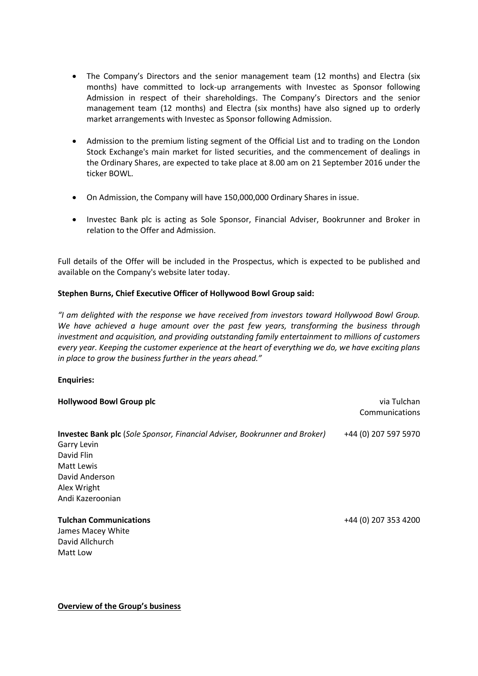- The Company's Directors and the senior management team (12 months) and Electra (six months) have committed to lock-up arrangements with Investec as Sponsor following Admission in respect of their shareholdings. The Company's Directors and the senior management team (12 months) and Electra (six months) have also signed up to orderly market arrangements with Investec as Sponsor following Admission.
- Admission to the premium listing segment of the Official List and to trading on the London Stock Exchange's main market for listed securities, and the commencement of dealings in the Ordinary Shares, are expected to take place at 8.00 am on 21 September 2016 under the ticker BOWL.
- On Admission, the Company will have 150,000,000 Ordinary Shares in issue.
- Investec Bank plc is acting as Sole Sponsor, Financial Adviser, Bookrunner and Broker in relation to the Offer and Admission.

Full details of the Offer will be included in the Prospectus, which is expected to be published and available on the Company's website later today.

# **Stephen Burns, Chief Executive Officer of Hollywood Bowl Group said:**

*"I am delighted with the response we have received from investors toward Hollywood Bowl Group. We have achieved a huge amount over the past few years, transforming the business through investment and acquisition, and providing outstanding family entertainment to millions of customers every year. Keeping the customer experience at the heart of everything we do, we have exciting plans in place to grow the business further in the years ahead."*

# **Enquiries:**

| <b>Hollywood Bowl Group plc</b>                                                   | via Tulchan<br>Communications |
|-----------------------------------------------------------------------------------|-------------------------------|
| <b>Investec Bank plc</b> (Sole Sponsor, Financial Adviser, Bookrunner and Broker) | +44 (0) 207 597 5970          |
| Garry Levin                                                                       |                               |
| David Flin                                                                        |                               |
| Matt Lewis                                                                        |                               |
| David Anderson                                                                    |                               |
| Alex Wright                                                                       |                               |
| Andi Kazeroonian                                                                  |                               |
| <b>Tulchan Communications</b>                                                     | +44 (0) 207 353 4200          |
| James Macey White                                                                 |                               |
| David Allchurch                                                                   |                               |
| Matt Low                                                                          |                               |

**Overview of the Group's business**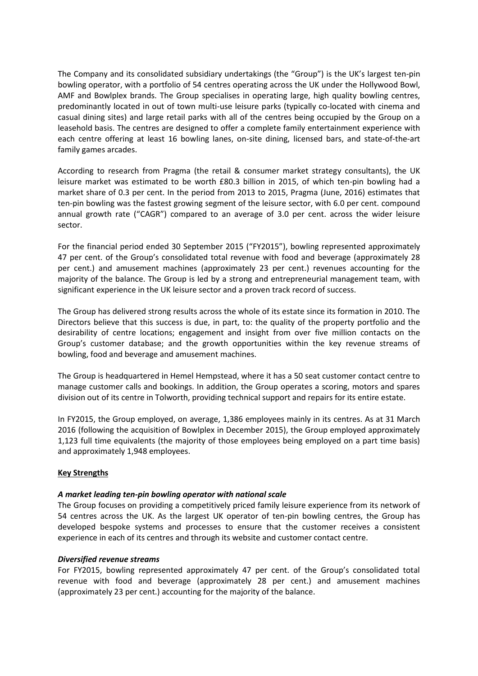The Company and its consolidated subsidiary undertakings (the "Group") is the UK's largest ten-pin bowling operator, with a portfolio of 54 centres operating across the UK under the Hollywood Bowl, AMF and Bowlplex brands. The Group specialises in operating large, high quality bowling centres, predominantly located in out of town multi-use leisure parks (typically co-located with cinema and casual dining sites) and large retail parks with all of the centres being occupied by the Group on a leasehold basis. The centres are designed to offer a complete family entertainment experience with each centre offering at least 16 bowling lanes, on-site dining, licensed bars, and state-of-the-art family games arcades.

According to research from Pragma (the retail & consumer market strategy consultants), the UK leisure market was estimated to be worth £80.3 billion in 2015, of which ten-pin bowling had a market share of 0.3 per cent. In the period from 2013 to 2015, Pragma (June, 2016) estimates that ten-pin bowling was the fastest growing segment of the leisure sector, with 6.0 per cent. compound annual growth rate ("CAGR") compared to an average of 3.0 per cent. across the wider leisure sector.

For the financial period ended 30 September 2015 ("FY2015"), bowling represented approximately 47 per cent. of the Group's consolidated total revenue with food and beverage (approximately 28 per cent.) and amusement machines (approximately 23 per cent.) revenues accounting for the majority of the balance. The Group is led by a strong and entrepreneurial management team, with significant experience in the UK leisure sector and a proven track record of success.

The Group has delivered strong results across the whole of its estate since its formation in 2010. The Directors believe that this success is due, in part, to: the quality of the property portfolio and the desirability of centre locations; engagement and insight from over five million contacts on the Group's customer database; and the growth opportunities within the key revenue streams of bowling, food and beverage and amusement machines.

The Group is headquartered in Hemel Hempstead, where it has a 50 seat customer contact centre to manage customer calls and bookings. In addition, the Group operates a scoring, motors and spares division out of its centre in Tolworth, providing technical support and repairs for its entire estate.

In FY2015, the Group employed, on average, 1,386 employees mainly in its centres. As at 31 March 2016 (following the acquisition of Bowlplex in December 2015), the Group employed approximately 1,123 full time equivalents (the majority of those employees being employed on a part time basis) and approximately 1,948 employees.

## **Key Strengths**

## *A market leading ten-pin bowling operator with national scale*

The Group focuses on providing a competitively priced family leisure experience from its network of 54 centres across the UK. As the largest UK operator of ten-pin bowling centres, the Group has developed bespoke systems and processes to ensure that the customer receives a consistent experience in each of its centres and through its website and customer contact centre.

## *Diversified revenue streams*

For FY2015, bowling represented approximately 47 per cent. of the Group's consolidated total revenue with food and beverage (approximately 28 per cent.) and amusement machines (approximately 23 per cent.) accounting for the majority of the balance.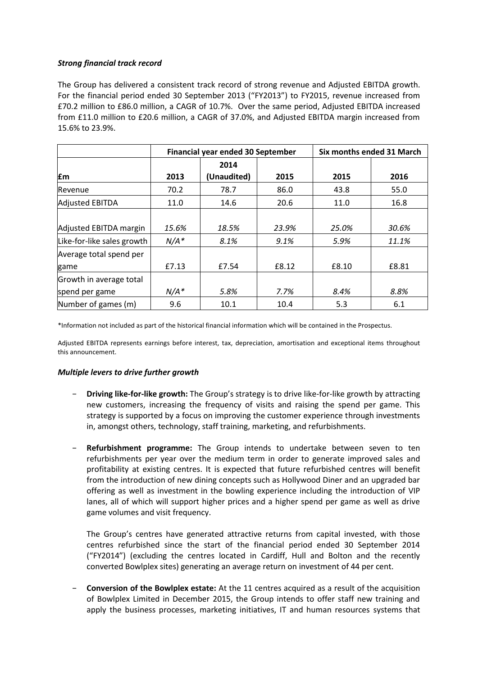## *Strong financial track record*

The Group has delivered a consistent track record of strong revenue and Adjusted EBITDA growth. For the financial period ended 30 September 2013 ("FY2013") to FY2015, revenue increased from £70.2 million to £86.0 million, a CAGR of 10.7%. Over the same period, Adjusted EBITDA increased from £11.0 million to £20.6 million, a CAGR of 37.0%, and Adjusted EBITDA margin increased from 15.6% to 23.9%.

|                            | Financial year ended 30 September |             |       | Six months ended 31 March |       |
|----------------------------|-----------------------------------|-------------|-------|---------------------------|-------|
|                            |                                   | 2014        |       |                           |       |
| Em                         | 2013                              | (Unaudited) | 2015  | 2015                      | 2016  |
| Revenue                    | 70.2                              | 78.7        | 86.0  | 43.8                      | 55.0  |
| <b>Adjusted EBITDA</b>     | 11.0                              | 14.6        | 20.6  | 11.0                      | 16.8  |
|                            |                                   |             |       |                           |       |
| Adjusted EBITDA margin     | 15.6%                             | 18.5%       | 23.9% | 25.0%                     | 30.6% |
| Like-for-like sales growth | $N/A^*$                           | 8.1%        | 9.1%  | 5.9%                      | 11.1% |
| Average total spend per    |                                   |             |       |                           |       |
| game                       | £7.13                             | £7.54       | £8.12 | £8.10                     | £8.81 |
| Growth in average total    |                                   |             |       |                           |       |
| spend per game             | $N/A^*$                           | 5.8%        | 7.7%  | 8.4%                      | 8.8%  |
| Number of games (m)        | 9.6                               | 10.1        | 10.4  | 5.3                       | 6.1   |

\*Information not included as part of the historical financial information which will be contained in the Prospectus.

Adjusted EBITDA represents earnings before interest, tax, depreciation, amortisation and exceptional items throughout this announcement.

## *Multiple levers to drive further growth*

- − **Driving like-for-like growth:** The Group's strategy is to drive like-for-like growth by attracting new customers, increasing the frequency of visits and raising the spend per game. This strategy is supported by a focus on improving the customer experience through investments in, amongst others, technology, staff training, marketing, and refurbishments.
- **Refurbishment programme:** The Group intends to undertake between seven to ten refurbishments per year over the medium term in order to generate improved sales and profitability at existing centres. It is expected that future refurbished centres will benefit from the introduction of new dining concepts such as Hollywood Diner and an upgraded bar offering as well as investment in the bowling experience including the introduction of VIP lanes, all of which will support higher prices and a higher spend per game as well as drive game volumes and visit frequency.

The Group's centres have generated attractive returns from capital invested, with those centres refurbished since the start of the financial period ended 30 September 2014 ("FY2014") (excluding the centres located in Cardiff, Hull and Bolton and the recently converted Bowlplex sites) generating an average return on investment of 44 per cent.

− **Conversion of the Bowlplex estate:** At the 11 centres acquired as a result of the acquisition of Bowlplex Limited in December 2015, the Group intends to offer staff new training and apply the business processes, marketing initiatives, IT and human resources systems that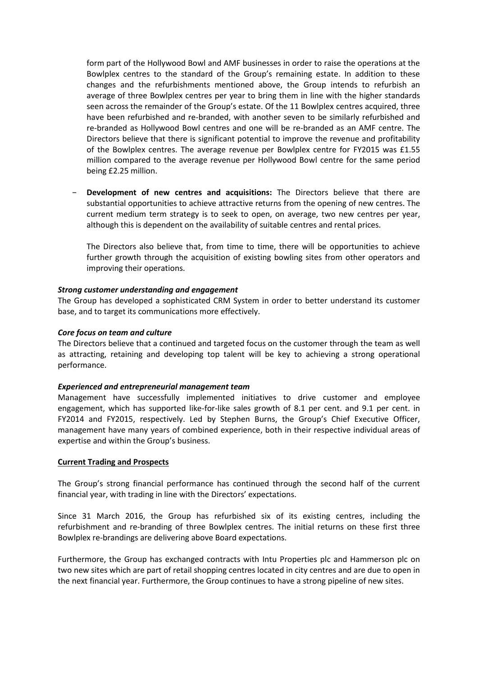form part of the Hollywood Bowl and AMF businesses in order to raise the operations at the Bowlplex centres to the standard of the Group's remaining estate. In addition to these changes and the refurbishments mentioned above, the Group intends to refurbish an average of three Bowlplex centres per year to bring them in line with the higher standards seen across the remainder of the Group's estate. Of the 11 Bowlplex centres acquired, three have been refurbished and re-branded, with another seven to be similarly refurbished and re-branded as Hollywood Bowl centres and one will be re-branded as an AMF centre. The Directors believe that there is significant potential to improve the revenue and profitability of the Bowlplex centres. The average revenue per Bowlplex centre for FY2015 was £1.55 million compared to the average revenue per Hollywood Bowl centre for the same period being £2.25 million.

**Development of new centres and acquisitions:** The Directors believe that there are substantial opportunities to achieve attractive returns from the opening of new centres. The current medium term strategy is to seek to open, on average, two new centres per year, although this is dependent on the availability of suitable centres and rental prices.

The Directors also believe that, from time to time, there will be opportunities to achieve further growth through the acquisition of existing bowling sites from other operators and improving their operations.

## *Strong customer understanding and engagement*

The Group has developed a sophisticated CRM System in order to better understand its customer base, and to target its communications more effectively.

#### *Core focus on team and culture*

The Directors believe that a continued and targeted focus on the customer through the team as well as attracting, retaining and developing top talent will be key to achieving a strong operational performance.

#### *Experienced and entrepreneurial management team*

Management have successfully implemented initiatives to drive customer and employee engagement, which has supported like-for-like sales growth of 8.1 per cent. and 9.1 per cent. in FY2014 and FY2015, respectively. Led by Stephen Burns, the Group's Chief Executive Officer, management have many years of combined experience, both in their respective individual areas of expertise and within the Group's business.

#### **Current Trading and Prospects**

The Group's strong financial performance has continued through the second half of the current financial year, with trading in line with the Directors' expectations.

Since 31 March 2016, the Group has refurbished six of its existing centres, including the refurbishment and re-branding of three Bowlplex centres. The initial returns on these first three Bowlplex re-brandings are delivering above Board expectations.

Furthermore, the Group has exchanged contracts with Intu Properties plc and Hammerson plc on two new sites which are part of retail shopping centres located in city centres and are due to open in the next financial year. Furthermore, the Group continues to have a strong pipeline of new sites.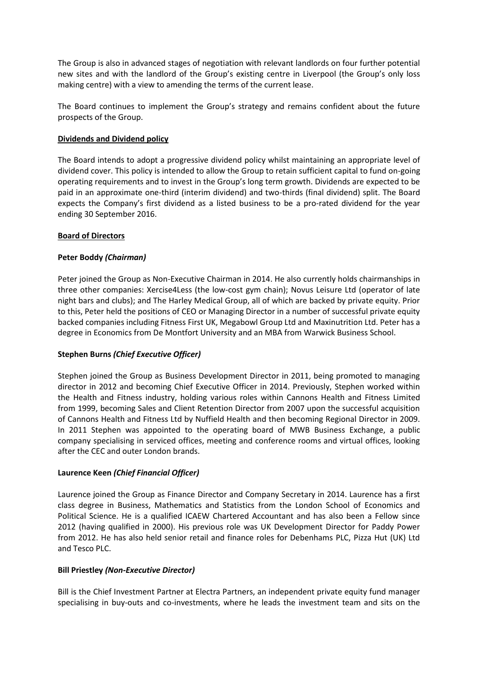The Group is also in advanced stages of negotiation with relevant landlords on four further potential new sites and with the landlord of the Group's existing centre in Liverpool (the Group's only loss making centre) with a view to amending the terms of the current lease.

The Board continues to implement the Group's strategy and remains confident about the future prospects of the Group.

## **Dividends and Dividend policy**

The Board intends to adopt a progressive dividend policy whilst maintaining an appropriate level of dividend cover. This policy is intended to allow the Group to retain sufficient capital to fund on-going operating requirements and to invest in the Group's long term growth. Dividends are expected to be paid in an approximate one-third (interim dividend) and two-thirds (final dividend) split. The Board expects the Company's first dividend as a listed business to be a pro-rated dividend for the year ending 30 September 2016.

## **Board of Directors**

## **Peter Boddy** *(Chairman)*

Peter joined the Group as Non-Executive Chairman in 2014. He also currently holds chairmanships in three other companies: Xercise4Less (the low-cost gym chain); Novus Leisure Ltd (operator of late night bars and clubs); and The Harley Medical Group, all of which are backed by private equity. Prior to this, Peter held the positions of CEO or Managing Director in a number of successful private equity backed companies including Fitness First UK, Megabowl Group Ltd and Maxinutrition Ltd. Peter has a degree in Economics from De Montfort University and an MBA from Warwick Business School.

# **Stephen Burns** *(Chief Executive Officer)*

Stephen joined the Group as Business Development Director in 2011, being promoted to managing director in 2012 and becoming Chief Executive Officer in 2014. Previously, Stephen worked within the Health and Fitness industry, holding various roles within Cannons Health and Fitness Limited from 1999, becoming Sales and Client Retention Director from 2007 upon the successful acquisition of Cannons Health and Fitness Ltd by Nuffield Health and then becoming Regional Director in 2009. In 2011 Stephen was appointed to the operating board of MWB Business Exchange, a public company specialising in serviced offices, meeting and conference rooms and virtual offices, looking after the CEC and outer London brands.

## **Laurence Keen** *(Chief Financial Officer)*

Laurence joined the Group as Finance Director and Company Secretary in 2014. Laurence has a first class degree in Business, Mathematics and Statistics from the London School of Economics and Political Science. He is a qualified ICAEW Chartered Accountant and has also been a Fellow since 2012 (having qualified in 2000). His previous role was UK Development Director for Paddy Power from 2012. He has also held senior retail and finance roles for Debenhams PLC, Pizza Hut (UK) Ltd and Tesco PLC.

## **Bill Priestley** *(Non-Executive Director)*

Bill is the Chief Investment Partner at Electra Partners, an independent private equity fund manager specialising in buy-outs and co-investments, where he leads the investment team and sits on the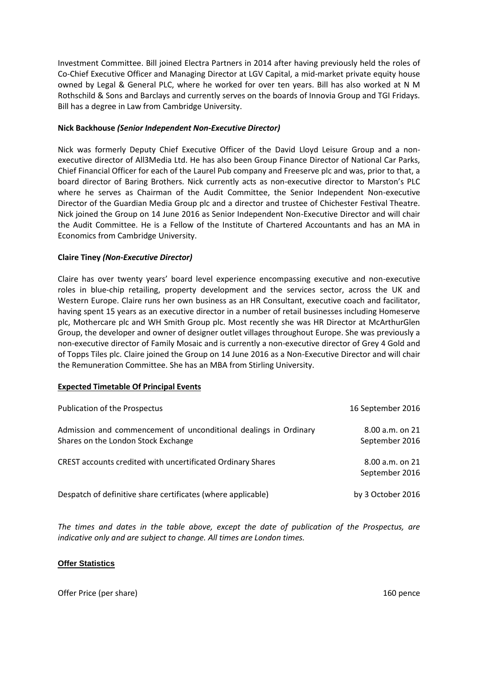Investment Committee. Bill joined Electra Partners in 2014 after having previously held the roles of Co-Chief Executive Officer and Managing Director at LGV Capital, a mid-market private equity house owned by Legal & General PLC, where he worked for over ten years. Bill has also worked at N M Rothschild & Sons and Barclays and currently serves on the boards of Innovia Group and TGI Fridays. Bill has a degree in Law from Cambridge University.

## **Nick Backhouse** *(Senior Independent Non-Executive Director)*

Nick was formerly Deputy Chief Executive Officer of the David Lloyd Leisure Group and a nonexecutive director of All3Media Ltd. He has also been Group Finance Director of National Car Parks, Chief Financial Officer for each of the Laurel Pub company and Freeserve plc and was, prior to that, a board director of Baring Brothers. Nick currently acts as non-executive director to Marston's PLC where he serves as Chairman of the Audit Committee, the Senior Independent Non-executive Director of the Guardian Media Group plc and a director and trustee of Chichester Festival Theatre. Nick joined the Group on 14 June 2016 as Senior Independent Non-Executive Director and will chair the Audit Committee. He is a Fellow of the Institute of Chartered Accountants and has an MA in Economics from Cambridge University.

## **Claire Tiney** *(Non-Executive Director)*

Claire has over twenty years' board level experience encompassing executive and non-executive roles in blue-chip retailing, property development and the services sector, across the UK and Western Europe. Claire runs her own business as an HR Consultant, executive coach and facilitator, having spent 15 years as an executive director in a number of retail businesses including Homeserve plc, Mothercare plc and WH Smith Group plc. Most recently she was HR Director at McArthurGlen Group, the developer and owner of designer outlet villages throughout Europe. She was previously a non-executive director of Family Mosaic and is currently a non-executive director of Grey 4 Gold and of Topps Tiles plc. Claire joined the Group on 14 June 2016 as a Non-Executive Director and will chair the Remuneration Committee. She has an MBA from Stirling University.

## **Expected Timetable Of Principal Events**

| Publication of the Prospectus                                                                           | 16 September 2016                     |
|---------------------------------------------------------------------------------------------------------|---------------------------------------|
| Admission and commencement of unconditional dealings in Ordinary<br>Shares on the London Stock Exchange | $8.00$ a.m. on $21$<br>September 2016 |
| CREST accounts credited with uncertificated Ordinary Shares                                             | $8.00$ a.m. on $21$<br>September 2016 |
| Despatch of definitive share certificates (where applicable)                                            | by 3 October 2016                     |

*The times and dates in the table above, except the date of publication of the Prospectus, are indicative only and are subject to change. All times are London times.*

## **Offer Statistics**

Offer Price (per share) 2008 160 pence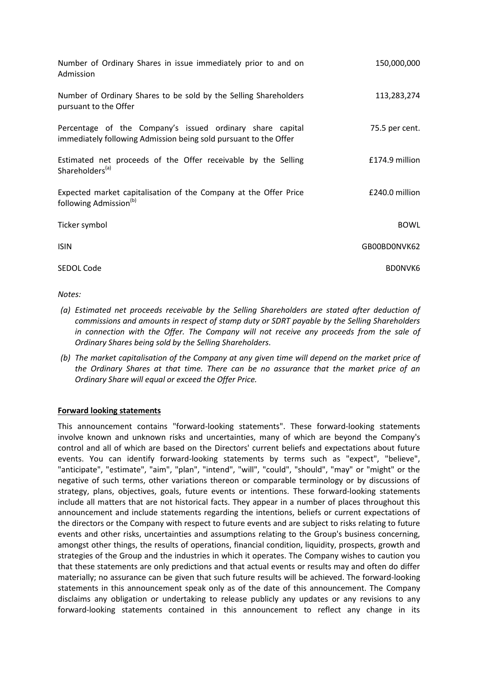| Number of Ordinary Shares in issue immediately prior to and on<br>Admission                                                   | 150,000,000    |
|-------------------------------------------------------------------------------------------------------------------------------|----------------|
| Number of Ordinary Shares to be sold by the Selling Shareholders<br>pursuant to the Offer                                     | 113,283,274    |
| Percentage of the Company's issued ordinary share capital<br>immediately following Admission being sold pursuant to the Offer | 75.5 per cent. |
| Estimated net proceeds of the Offer receivable by the Selling<br>Shareholders <sup>(a)</sup>                                  | £174.9 million |
| Expected market capitalisation of the Company at the Offer Price<br>following Admission <sup>(b)</sup>                        | £240.0 million |
| Ticker symbol                                                                                                                 | <b>BOWL</b>    |
| <b>ISIN</b>                                                                                                                   | GB00BD0NVK62   |
| SEDOL Code                                                                                                                    | <b>BDONVK6</b> |

## *Notes:*

- *(a) Estimated net proceeds receivable by the Selling Shareholders are stated after deduction of commissions and amounts in respect of stamp duty or SDRT payable by the Selling Shareholders in connection with the Offer. The Company will not receive any proceeds from the sale of Ordinary Shares being sold by the Selling Shareholders.*
- *(b) The market capitalisation of the Company at any given time will depend on the market price of the Ordinary Shares at that time. There can be no assurance that the market price of an Ordinary Share will equal or exceed the Offer Price.*

# **Forward looking statements**

This announcement contains "forward-looking statements". These forward-looking statements involve known and unknown risks and uncertainties, many of which are beyond the Company's control and all of which are based on the Directors' current beliefs and expectations about future events. You can identify forward-looking statements by terms such as "expect", "believe", "anticipate", "estimate", "aim", "plan", "intend", "will", "could", "should", "may" or "might" or the negative of such terms, other variations thereon or comparable terminology or by discussions of strategy, plans, objectives, goals, future events or intentions. These forward-looking statements include all matters that are not historical facts. They appear in a number of places throughout this announcement and include statements regarding the intentions, beliefs or current expectations of the directors or the Company with respect to future events and are subject to risks relating to future events and other risks, uncertainties and assumptions relating to the Group's business concerning, amongst other things, the results of operations, financial condition, liquidity, prospects, growth and strategies of the Group and the industries in which it operates. The Company wishes to caution you that these statements are only predictions and that actual events or results may and often do differ materially; no assurance can be given that such future results will be achieved. The forward-looking statements in this announcement speak only as of the date of this announcement. The Company disclaims any obligation or undertaking to release publicly any updates or any revisions to any forward-looking statements contained in this announcement to reflect any change in its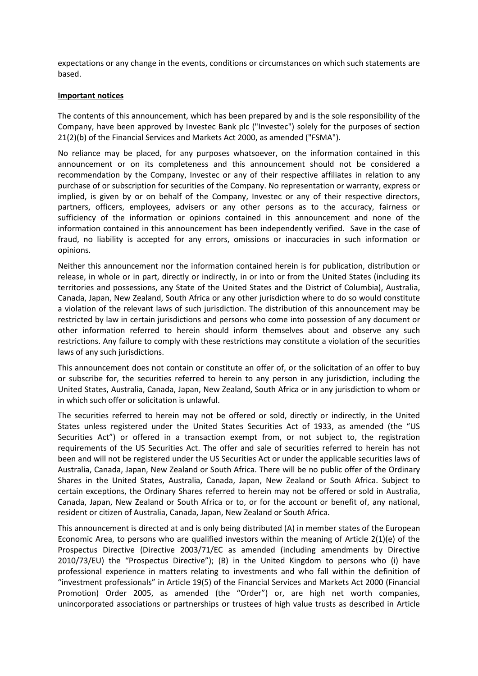expectations or any change in the events, conditions or circumstances on which such statements are based.

#### **Important notices**

The contents of this announcement, which has been prepared by and is the sole responsibility of the Company, have been approved by Investec Bank plc ("Investec") solely for the purposes of section 21(2)(b) of the Financial Services and Markets Act 2000, as amended ("FSMA").

No reliance may be placed, for any purposes whatsoever, on the information contained in this announcement or on its completeness and this announcement should not be considered a recommendation by the Company, Investec or any of their respective affiliates in relation to any purchase of or subscription for securities of the Company. No representation or warranty, express or implied, is given by or on behalf of the Company, Investec or any of their respective directors, partners, officers, employees, advisers or any other persons as to the accuracy, fairness or sufficiency of the information or opinions contained in this announcement and none of the information contained in this announcement has been independently verified. Save in the case of fraud, no liability is accepted for any errors, omissions or inaccuracies in such information or opinions.

Neither this announcement nor the information contained herein is for publication, distribution or release, in whole or in part, directly or indirectly, in or into or from the United States (including its territories and possessions, any State of the United States and the District of Columbia), Australia, Canada, Japan, New Zealand, South Africa or any other jurisdiction where to do so would constitute a violation of the relevant laws of such jurisdiction. The distribution of this announcement may be restricted by law in certain jurisdictions and persons who come into possession of any document or other information referred to herein should inform themselves about and observe any such restrictions. Any failure to comply with these restrictions may constitute a violation of the securities laws of any such jurisdictions.

This announcement does not contain or constitute an offer of, or the solicitation of an offer to buy or subscribe for, the securities referred to herein to any person in any jurisdiction, including the United States, Australia, Canada, Japan, New Zealand, South Africa or in any jurisdiction to whom or in which such offer or solicitation is unlawful.

The securities referred to herein may not be offered or sold, directly or indirectly, in the United States unless registered under the United States Securities Act of 1933, as amended (the "US Securities Act") or offered in a transaction exempt from, or not subject to, the registration requirements of the US Securities Act. The offer and sale of securities referred to herein has not been and will not be registered under the US Securities Act or under the applicable securities laws of Australia, Canada, Japan, New Zealand or South Africa. There will be no public offer of the Ordinary Shares in the United States, Australia, Canada, Japan, New Zealand or South Africa. Subject to certain exceptions, the Ordinary Shares referred to herein may not be offered or sold in Australia, Canada, Japan, New Zealand or South Africa or to, or for the account or benefit of, any national, resident or citizen of Australia, Canada, Japan, New Zealand or South Africa.

This announcement is directed at and is only being distributed (A) in member states of the European Economic Area, to persons who are qualified investors within the meaning of Article 2(1)(e) of the Prospectus Directive (Directive 2003/71/EC as amended (including amendments by Directive 2010/73/EU) the "Prospectus Directive"); (B) in the United Kingdom to persons who (i) have professional experience in matters relating to investments and who fall within the definition of "investment professionals" in Article 19(5) of the Financial Services and Markets Act 2000 (Financial Promotion) Order 2005, as amended (the "Order") or, are high net worth companies, unincorporated associations or partnerships or trustees of high value trusts as described in Article